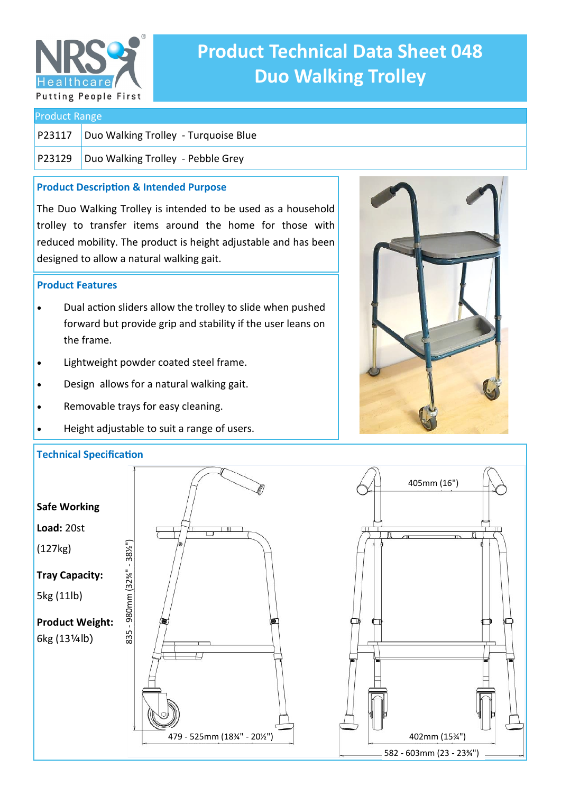

# **Product Technical Data Sheet 048 Duo Walking Trolley**

#### Product Range

P23117 Duo Walking Trolley - Turquoise Blue

P23129 Duo Walking Trolley - Pebble Grey

## **Product Description & Intended Purpose**

The Duo Walking Trolley is intended to be used as a household trolley to transfer items around the home for those with reduced mobility. The product is height adjustable and has been designed to allow a natural walking gait.

### **Product Features**

- Dual action sliders allow the trolley to slide when pushed forward but provide grip and stability if the user leans on the frame.
- Lightweight powder coated steel frame.
- Design allows for a natural walking gait.
- Removable trays for easy cleaning.
- Height adjustable to suit a range of users.

# **Technical Specification**